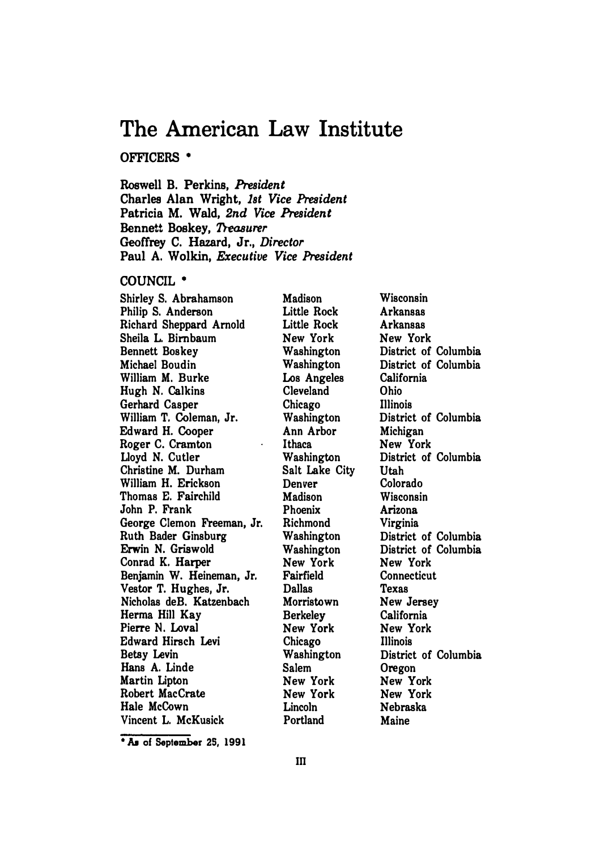# **The American Law Institute**

# **OFFICERS •**

**Roswell B. Perkins,** *President*  **Charles Alan Wright,** *1st Vice President*  **Patricia M. Wald,** *2nd Vice President*  **Bennett Boskey,** *Treasurer*  Geoffrey **C. Hazard, Jr.,** *Director*  **Paul A. Wolkin,** *Executive Vice President* 

## **COUNCIL•**

**Shirley S. Abrahamson Philip S. Anderson Richard Sheppard Arnold Sheila L. Birnbaum Bennett Boskey Michael Boudin William M. Burke Hugh N. Calkins Gerhard Casper William T. Coleman, Jr. Edward H. Cooper Roger C. Cramton Lloyd N. Cutler Christine M. Durham William H. Erickson Thomas E. Fairchild John P. Frank George Clemon Freeman, Jr. Ruth Bader Ginsburg Erwin N. Griswold Conrad K. Harper Benjamin W. Heineman, Jr.**  Vestor T. Hughes, Jr. **Nicholas deB. Katzenbach Herma Hill Kay Pierre N. Loval Edward Hirsch Levi Betsy Levin Hans A. Linde Martin Lipton Robert MacCrate Hale McCown Vincent L. McKusick** 

**Madison Little Rock Little Rock New York Washington Washington Los Angeles Cleveland Chicago Washington Ann Arbor Ithaca Washington Salt Lake City Denver Madison Phoenix Richmond Washington Washington New York Fairfield Dallas Morristown Berkeley New York Chicago Washington Salem New York New York Lincoln Portland** 

**Wisconsin Arkansas Arkansas New York District of Columbia District of Columbia California Ohio Illinois District of Columbia Michigan New York District of Columbia Utah Colorado Wisconsin Arizona Virginia District of Columbia District of Columbia New York Connecticut Texas New Jersey California New York Illinois District of Columbia Oregon New York New York Nebraska Maine** 

**• Aa of September 2S, 1991**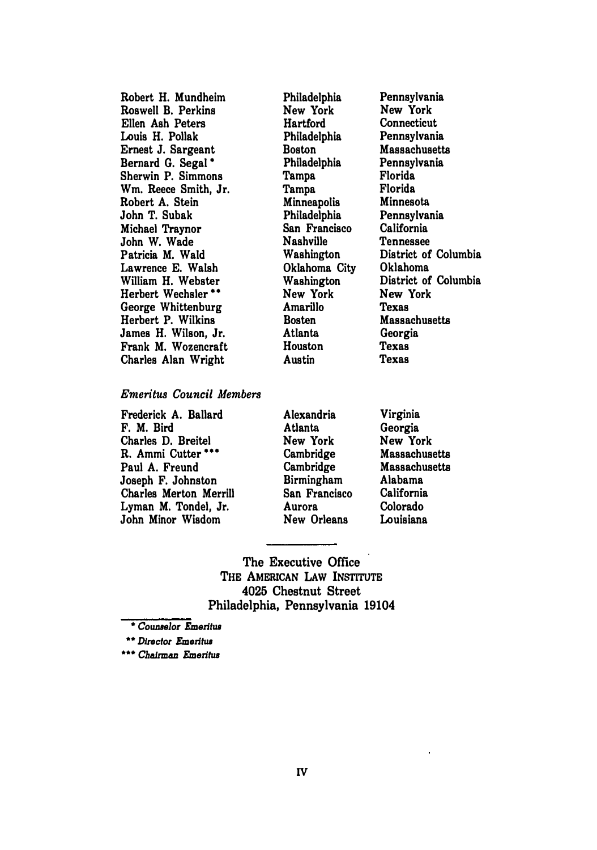| Robert H. Mundheim            |
|-------------------------------|
| Roswell B. Perkins            |
| Ellen Ash Peters              |
| Louis H. Pollak               |
| Ernest J. Sargeant            |
| Bernard G. Segal *            |
| Sherwin P. Simmons            |
| Wm. Reece Smith, Jr.          |
| Robert A. Stein               |
| John T. Subak                 |
| Michael Traynor               |
| John W. Wade                  |
| Patricia M. Wald              |
| Lawrence E. Walsh             |
| William H. Webster            |
| Herbert Wechsler <sup>*</sup> |
| George Whittenburg            |
| Herbert P. Wilkins            |
| James H. Wilson, Jr.          |
| Frank M. Wozencraft           |
| Charles Alan Wright           |
|                               |

**Philadelphia New York Hartford Philadelphia Boston Philadelphia Tampa Tampa Minneapolis Philadelphia San Francisco Nashville Washington Oklahoma City Washington New York Amarillo Bosten Atlanta Houston Austin** 

**Pennsylvania New York Connecticut Pennsylvania Massachusetts Pennsylvania Florida Florida Minnesota Pennsylvania California Tennessee District of Columbia Oklahoma District of Columbia New York Texas Massachusetts Georgia Texas Texas** 

# *Emeritus Council Members*

**Frederick A. Ballard F. M. Bird Charles D. Breitel R. Ammi Cutter••• Paul A. Freund Joseph F. Johnston Charles Merton Merrill Lyman M. Tondel, Jr. John Minor Wisdom**

**Alexandria Atlanta New York Cambridge Cambridge Birmingham San Francisco Aurora New Orleans** 

**Virginia Georgia New York Massachusetts Massachusetts Alabama California Colorado Louisiana** 

**The Executive Office THE AMERICAN LAW INSTITUTE 4025 Chestnut Street Philadelphia, Pennsylvania 19104** 

\* *Counselor Emeritus*

\*\* *Director Emeritus*

\*\*\* *Chairman Emeritus*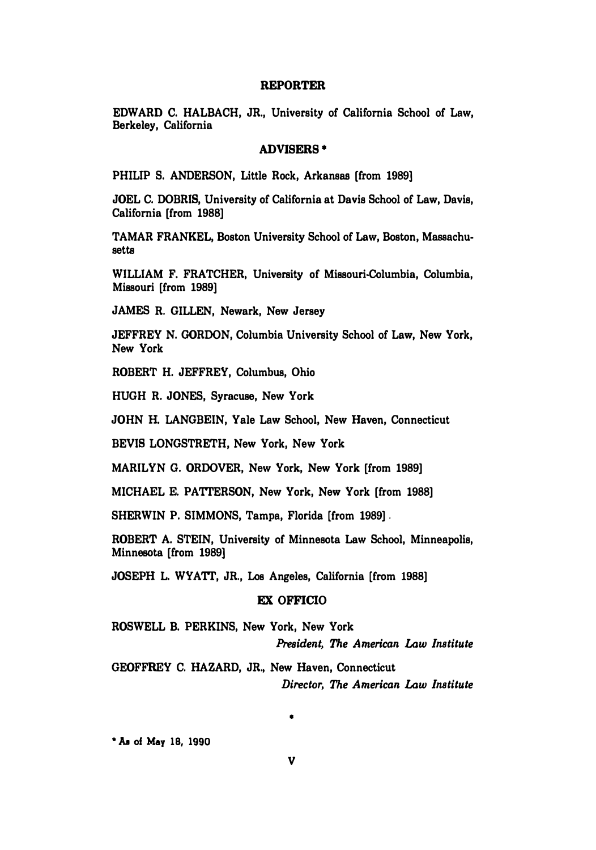#### **REPORTER**

**EDWARD C. HALBACH, JR., University of California School of Law, Berkeley, California** 

#### **ADVISERS•**

**PHILIP S. ANDERSON, Little Rock, Arkansas [from 1989]** 

**JOEL C. DOBRIS, University of California at Davis School of Law, Davis, California [from 1988]** 

**TAMAR FRANKEL, Boston University School of Law, Boston, Massachusetts** 

**WILLIAM F. FRATCHER, University of Missouri-Columbia, Columbia, Missouri [from 1989]** 

**JAMES R. GILLEN, Newark, New Jersey** 

**JEFFREY N. GORDON, Columbia University School of Law, New York, New York** 

**ROBERT H. JEFFREY, Columbus, Ohio** 

**HUGH R. JONES, Syracuse, New York** 

**JOHN H. LANGBEIN, Yale Law School, New Haven, Connecticut** 

**BEVIS LONGSTRETH, New York, New York** 

**MARILYN G. OROOVER, New York, New York [from 1989]** 

**MICHAEL E. PATrERSON, New York, New York [from 1988]** 

**SHERWIN P. SIMMONS, Tampa, Florida [from 1989] .** 

**ROBERT A. STEIN, University of Minnesota Law School, Minneapolis, Minnesota [from 1989]** 

**JOSEPH L. WYATr, JR., Los Angeles, California [from 1988]** 

## **EX OFFICIO**

**ROSWELL B. PERKINS, New York, New York**  *President, The American Law Institute* 

**GEOFFREY C. HAZARD, JR., New Haven, Connecticut**  *Director, The American Law Institute* 

•

**\* As of May 18, 1990**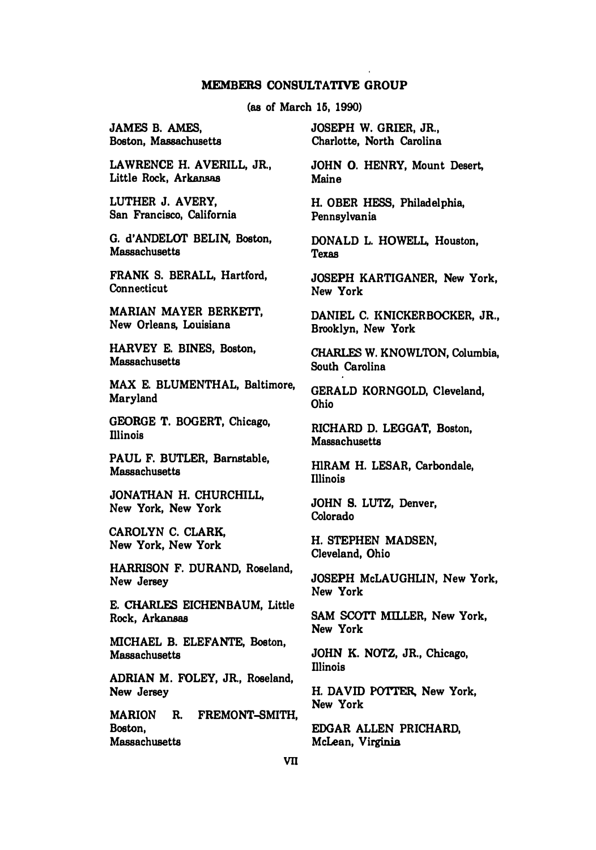#### **MEMBERS CONSULTATIVE GROUP**

**(as of March 15, 1990)** 

**JAMES B. AMES, Boston, Massachusetts** 

**LAWRENCE H. AVERILL, JR., Little Rock, Arkansas** 

**LUTHER J. AVERY, San Francisco, California** 

**G. d'ANDELOT BELIN, Boston, Massachusetts**

**FRANK S. BERALL, Hartford, Connecticut** 

**MARIAN MA YER BERKETI', New Orleans, Louisiana** 

**HARVEY E. BINES, Boston, Massachusetts** 

**MAX E. BLUMENTHAL, Baltimore, Maryland** 

**GEORGE T. BOGERT, Chicago, Illinois** 

**PAUL F. BUTLER, Barnstable, Massachusetts** 

**JONATHAN H. CHURCHILL, New York, New York** 

**CAROLYN C. CLARK, New York, New York** 

**HARRISON F. DURAND, Roseland, New Jersey** 

**E.CHARLF.S EICHENBAUM, Little Rock, Arkansas**

**MICHAEL B. ELEFANTE, Boston, Massachusetts** 

**ADRIAN M. FOLEY, JR., Roseland, New Jersey** 

**MARION R. FREMONT-SMITH, Boston, Massachusetts** 

**JOSEPH W. GRIER, JR., Charlotte, North Carolina** 

**JOHN 0. HENRY, Mount Desert, Maine** 

**H. OBER HESS, Philadelphia, Pennsylvania**

**DONALD L. HOWELL, Houston, Texas** 

**JOSEPH KARTIGANER, New York, New York** 

**DANIEL C. KNICKERBOCKER, JR., Brooklyn, New York** 

**CHARLES W. KNOWLTON, Columbia, South Carolina** 

**GERALD KORNGOLD, Cleveland, Ohio** 

**RICHARD D. LEGGAT, Boston, Massachusetts** 

**ffiRAM H. LESAR, Carbondale, Illinois** 

**JOHN S. LUTZ, Denver, Colorado** 

**H. STEPHEN MADSEN, Cleveland, Ohio**

**JOSEPH McLAUGHLIN, New York, New York** 

SAM SCOTT MILLER, New York, **New York** 

**JOHN K. NOTZ, JR., Chicago, Illinois** 

**H. DAVID PO'ITER, New York, New York**

**EDGAR ALLEN PRICHARD, McLean, Virginia**